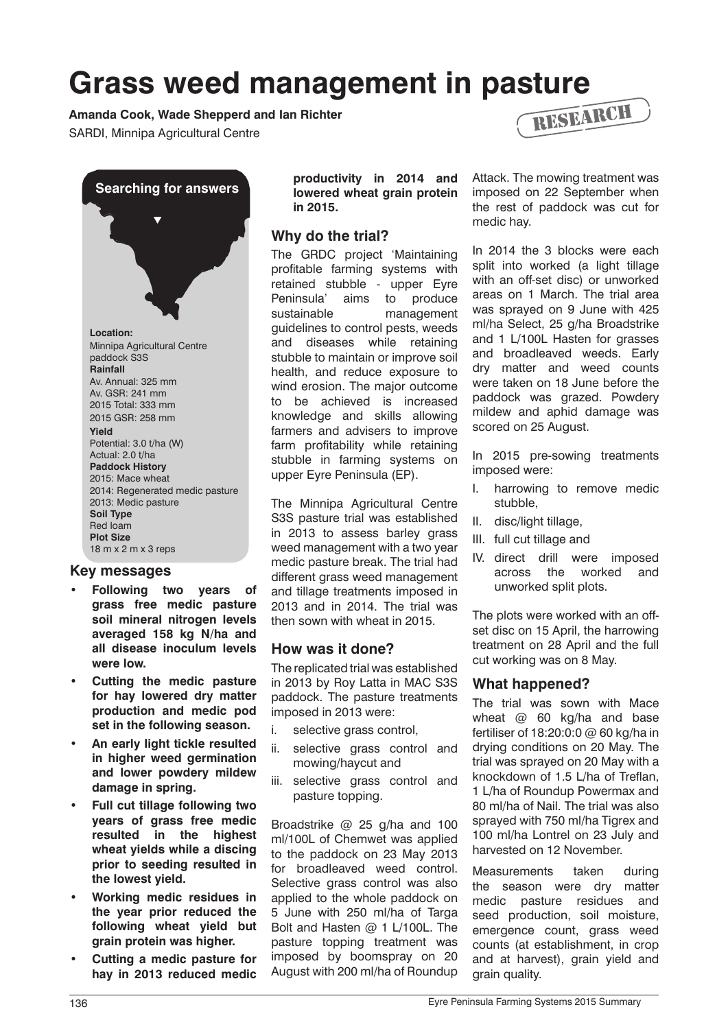# **Grass weed management in pasture** RESEARCH

**Amanda Cook, Wade Shepperd and Ian Richter**

SARDI, Minnipa Agricultural Centre



## **Key messages**

- **Following two years of grass free medic pasture soil mineral nitrogen levels averaged 158 kg N/ha and all disease inoculum levels were low.**
- **Cutting the medic pasture for hay lowered dry matter production and medic pod set in the following season.**
- **An early light tickle resulted in higher weed germination and lower powdery mildew damage in spring.**
- **• Full cut tillage following two years of grass free medic resulted in the highest wheat yields while a discing prior to seeding resulted in the lowest yield.**
- **Working medic residues in the year prior reduced the following wheat yield but grain protein was higher.**
- **Cutting a medic pasture for hay in 2013 reduced medic**

**productivity in 2014 and lowered wheat grain protein in 2015.**

## **Why do the trial?**

The GRDC project 'Maintaining profitable farming systems with retained stubble - upper Eyre Peninsula' aims to produce sustainable management guidelines to control pests, weeds and diseases while retaining stubble to maintain or improve soil health, and reduce exposure to wind erosion. The major outcome to be achieved is increased knowledge and skills allowing farmers and advisers to improve farm profitability while retaining stubble in farming systems on upper Eyre Peninsula (EP).

The Minnipa Agricultural Centre S3S pasture trial was established in 2013 to assess barley grass weed management with a two year medic pasture break. The trial had different grass weed management and tillage treatments imposed in 2013 and in 2014. The trial was then sown with wheat in 2015.

## **How was it done?**

The replicated trial was established in 2013 by Roy Latta in MAC S3S paddock. The pasture treatments imposed in 2013 were:

- i. selective grass control,
- ii. selective grass control and mowing/haycut and
- iii. selective grass control and pasture topping.

Broadstrike @ 25 g/ha and 100 ml/100L of Chemwet was applied to the paddock on 23 May 2013 for broadleaved weed control. Selective grass control was also applied to the whole paddock on 5 June with 250 ml/ha of Targa Bolt and Hasten @ 1 L/100L. The pasture topping treatment was imposed by boomspray on 20 August with 200 ml/ha of Roundup



In 2014 the 3 blocks were each split into worked (a light tillage with an off-set disc) or unworked areas on 1 March. The trial area was sprayed on 9 June with 425 ml/ha Select, 25 g/ha Broadstrike and 1 L/100L Hasten for grasses and broadleaved weeds. Early dry matter and weed counts were taken on 18 June before the paddock was grazed. Powdery mildew and aphid damage was scored on 25 August.

In 2015 pre-sowing treatments imposed were:

- I. harrowing to remove medic stubble,
- II. disc/light tillage,
- III. full cut tillage and
- IV. direct drill were imposed across the worked and unworked split plots.

The plots were worked with an offset disc on 15 April, the harrowing treatment on 28 April and the full cut working was on 8 May.

### **What happened?**

The trial was sown with Mace wheat  $\omega$  60 kg/ha and base fertiliser of 18:20:0:0 @ 60 kg/ha in drying conditions on 20 May. The trial was sprayed on 20 May with a knockdown of 1.5 L/ha of Treflan, 1 L/ha of Roundup Powermax and 80 ml/ha of Nail. The trial was also sprayed with 750 ml/ha Tigrex and 100 ml/ha Lontrel on 23 July and harvested on 12 November.

Measurements taken during the season were dry matter medic pasture residues and seed production, soil moisture, emergence count, grass weed counts (at establishment, in crop and at harvest), grain yield and grain quality.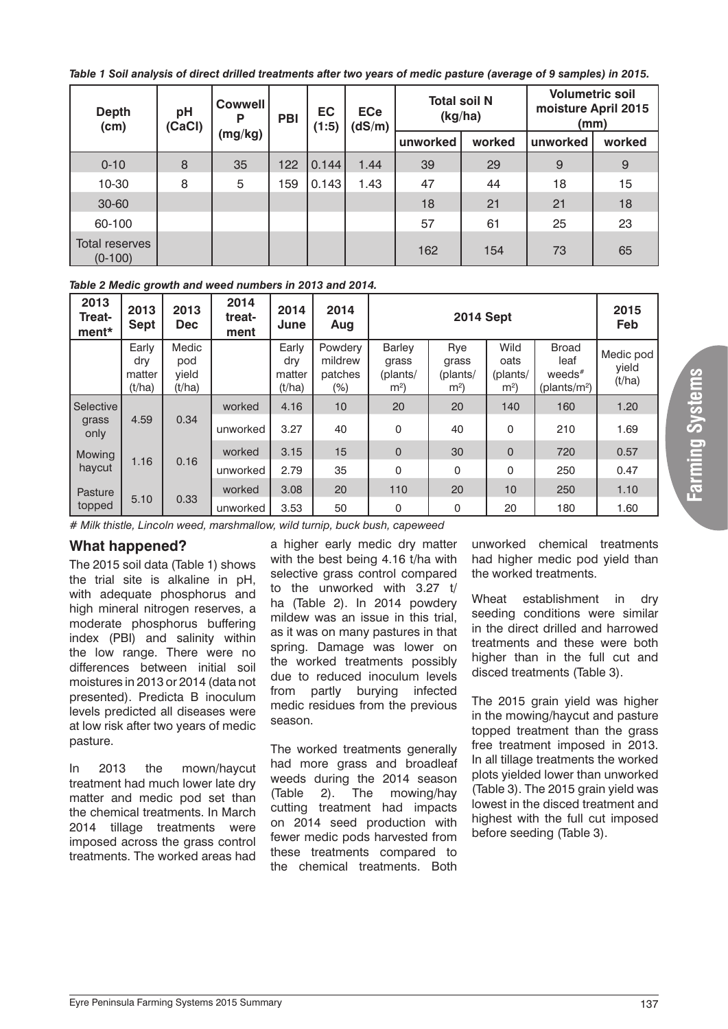*Table 1 Soil analysis of direct drilled treatments after two years of medic pasture (average of 9 samples) in 2015.*

| <b>Depth</b><br>(cm)        | pH<br>(CaCl) | <b>Cowwell</b><br>P<br>(mg/kg) | PBI | <b>EC</b><br>(1:5) | <b>ECe</b><br>(dS/m) | <b>Total soil N</b><br>(kg/ha) |        | <b>Volumetric soil</b><br>moisture April 2015<br>(mm) |        |
|-----------------------------|--------------|--------------------------------|-----|--------------------|----------------------|--------------------------------|--------|-------------------------------------------------------|--------|
|                             |              |                                |     |                    |                      | unworked                       | worked | unworked                                              | worked |
| $0 - 10$                    | 8            | 35                             | 122 | 0.144              | 1.44                 | 39                             | 29     | 9                                                     | 9      |
| $10 - 30$                   | 8            | 5                              | 159 | 0.143              | 1.43                 | 47                             | 44     | 18                                                    | 15     |
| 30-60                       |              |                                |     |                    |                      | 18                             | 21     | 21                                                    | 18     |
| 60-100                      |              |                                |     |                    |                      | 57                             | 61     | 25                                                    | 23     |
| Total reserves<br>$(0-100)$ |              |                                |     |                    |                      | 162                            | 154    | 73                                                    | 65     |

#### *Table 2 Medic growth and weed numbers in 2013 and 2014.*

| 2013<br><b>Treat-</b><br>ment* | 2013<br><b>Sept</b>              | 2013<br><b>Dec</b>              | 2014<br>treat-<br>ment | 2014<br>June                     | 2014<br>Aug                          | <b>2014 Sept</b>                                     |                                            |                                            | 2015<br>Feb                                                   |                              |              |    |             |     |      |
|--------------------------------|----------------------------------|---------------------------------|------------------------|----------------------------------|--------------------------------------|------------------------------------------------------|--------------------------------------------|--------------------------------------------|---------------------------------------------------------------|------------------------------|--------------|----|-------------|-----|------|
|                                | Early<br>dry<br>matter<br>(t/ha) | Medic<br>pod<br>vield<br>(t/ha) |                        | Early<br>dry<br>matter<br>(t/ha) | Powdery<br>mildrew<br>patches<br>(%) | <b>Barley</b><br>grass<br>(plants/<br>m <sup>2</sup> | Rye<br>grass<br>(plants/<br>m <sup>2</sup> | Wild<br>oats<br>(plants/<br>m <sup>2</sup> | <b>Broad</b><br>leaf<br>weeds $*$<br>(plants/m <sup>2</sup> ) | Medic pod<br>vield<br>(t/ha) |              |    |             |     |      |
| Selective                      | 4.59<br>grass<br>only            |                                 | worked                 | 4.16                             | 10 <sup>1</sup>                      | 20                                                   | 20                                         | 140                                        | 160                                                           | 1.20                         |              |    |             |     |      |
|                                |                                  | 0.34                            | unworked               | 3.27                             | 40                                   | $\Omega$                                             | 40                                         | $\Omega$                                   | 210                                                           | 1.69                         |              |    |             |     |      |
| Mowing                         |                                  |                                 |                        |                                  |                                      |                                                      |                                            | worked                                     | 3.15                                                          | 15                           | $\mathbf{0}$ | 30 | $\mathbf 0$ | 720 | 0.57 |
| 1.16<br>haycut                 | 0.16                             | unworked                        | 2.79                   | 35                               | 0                                    | 0                                                    | $\Omega$                                   | 250                                        | 0.47                                                          |                              |              |    |             |     |      |
| Pasture                        |                                  |                                 | worked                 | 3.08                             | 20                                   | 110                                                  | 20                                         | 10                                         | 250                                                           | 1.10                         |              |    |             |     |      |
| 5.10<br>topped                 | 0.33                             | unworked                        | 3.53                   | 50                               | 0                                    | 0                                                    | 20                                         | 180                                        | 1.60                                                          |                              |              |    |             |     |      |

*# Milk thistle, Lincoln weed, marshmallow, wild turnip, buck bush, capeweed*

## **What happened?**

The 2015 soil data (Table 1) shows the trial site is alkaline in pH, with adequate phosphorus and high mineral nitrogen reserves, a moderate phosphorus buffering index (PBI) and salinity within the low range. There were no differences between initial soil moistures in 2013 or 2014 (data not presented). Predicta B inoculum levels predicted all diseases were at low risk after two years of medic pasture.

In 2013 the mown/haycut treatment had much lower late dry matter and medic pod set than the chemical treatments. In March 2014 tillage treatments were imposed across the grass control treatments. The worked areas had

a higher early medic dry matter with the best being 4.16 t/ha with selective grass control compared to the unworked with 3.27 t/ ha (Table 2). In 2014 powdery mildew was an issue in this trial, as it was on many pastures in that spring. Damage was lower on the worked treatments possibly due to reduced inoculum levels from partly burying infected medic residues from the previous season.

The worked treatments generally had more grass and broadleaf weeds during the 2014 season (Table 2). The mowing/hay cutting treatment had impacts on 2014 seed production with fewer medic pods harvested from these treatments compared to the chemical treatments. Both

unworked chemical treatments had higher medic pod yield than the worked treatments.

Wheat establishment in dry seeding conditions were similar in the direct drilled and harrowed treatments and these were both higher than in the full cut and disced treatments (Table 3).

The 2015 grain yield was higher in the mowing/haycut and pasture topped treatment than the grass free treatment imposed in 2013. In all tillage treatments the worked plots yielded lower than unworked (Table 3). The 2015 grain yield was lowest in the disced treatment and highest with the full cut imposed before seeding (Table 3).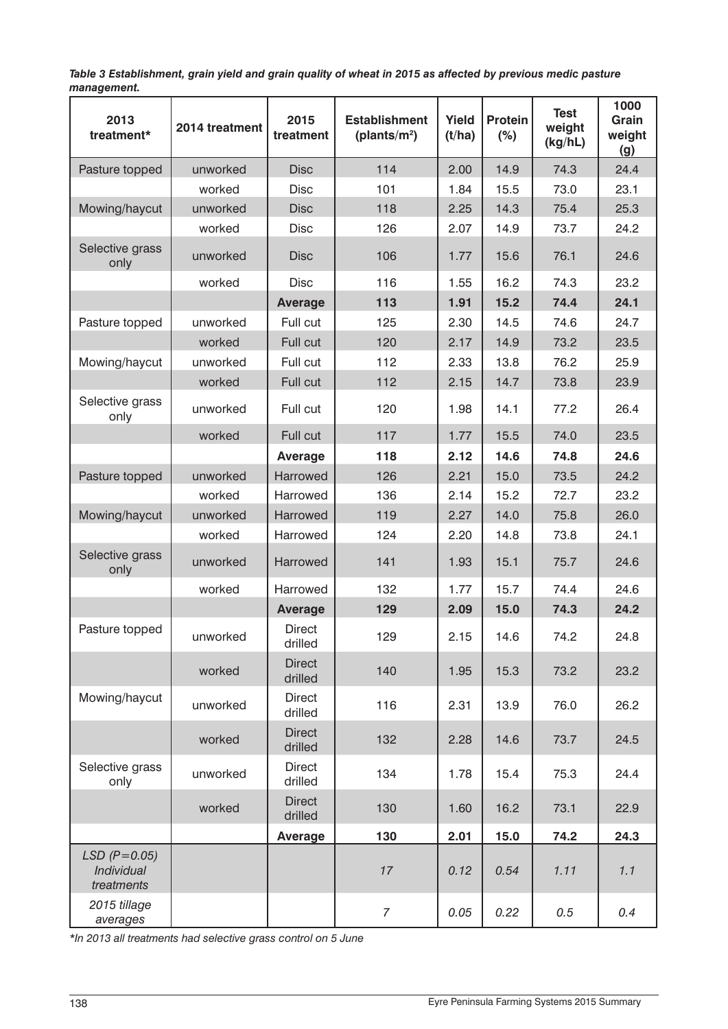*Table 3 Establishment, grain yield and grain quality of wheat in 2015 as affected by previous medic pasture management.*

| 2013<br>treatment*                             | 2014 treatment | 2015<br>treatment        | <b>Establishment</b><br>(plants/ $m^2$ ) | Yield<br>(t/ha) | <b>Protein</b><br>(%) | <b>Test</b><br>weight<br>(kg/hL) | 1000<br>Grain<br>weight<br>(g) |
|------------------------------------------------|----------------|--------------------------|------------------------------------------|-----------------|-----------------------|----------------------------------|--------------------------------|
| Pasture topped                                 | unworked       | <b>Disc</b>              | 114                                      | 2.00            | 14.9                  | 74.3                             | 24.4                           |
|                                                | worked         | <b>Disc</b>              | 101                                      | 1.84            | 15.5                  | 73.0                             | 23.1                           |
| Mowing/haycut                                  | unworked       | <b>Disc</b>              | 118                                      | 2.25            | 14.3                  | 75.4                             | 25.3                           |
|                                                | worked         | <b>Disc</b>              | 126                                      | 2.07            | 14.9                  | 73.7                             | 24.2                           |
| Selective grass<br>only                        | unworked       | <b>Disc</b>              | 106                                      | 1.77            | 15.6                  | 76.1                             | 24.6                           |
|                                                | worked         | <b>Disc</b>              | 116                                      | 1.55            | 16.2                  | 74.3                             | 23.2                           |
|                                                |                | <b>Average</b>           | 113                                      | 1.91            | 15.2                  | 74.4                             | 24.1                           |
| Pasture topped                                 | unworked       | Full cut                 | 125                                      | 2.30            | 14.5                  | 74.6                             | 24.7                           |
|                                                | worked         | Full cut                 | 120                                      | 2.17            | 14.9                  | 73.2                             | 23.5                           |
| Mowing/haycut                                  | unworked       | Full cut                 | 112                                      | 2.33            | 13.8                  | 76.2                             | 25.9                           |
|                                                | worked         | Full cut                 | 112                                      | 2.15            | 14.7                  | 73.8                             | 23.9                           |
| Selective grass<br>only                        | unworked       | Full cut                 | 120                                      | 1.98            | 14.1                  | 77.2                             | 26.4                           |
|                                                | worked         | Full cut                 | 117                                      | 1.77            | 15.5                  | 74.0                             | 23.5                           |
|                                                |                | Average                  | 118                                      | 2.12            | 14.6                  | 74.8                             | 24.6                           |
| Pasture topped                                 | unworked       | Harrowed                 | 126                                      | 2.21            | 15.0                  | 73.5                             | 24.2                           |
|                                                | worked         | Harrowed                 | 136                                      | 2.14            | 15.2                  | 72.7                             | 23.2                           |
| Mowing/haycut                                  | unworked       | Harrowed                 | 119                                      | 2.27            | 14.0                  | 75.8                             | 26.0                           |
|                                                | worked         | Harrowed                 | 124                                      | 2.20            | 14.8                  | 73.8                             | 24.1                           |
| Selective grass<br>only                        | unworked       | Harrowed                 | 141                                      | 1.93            | 15.1                  | 75.7                             | 24.6                           |
|                                                | worked         | Harrowed                 | 132                                      | 1.77            | 15.7                  | 74.4                             | 24.6                           |
|                                                |                | <b>Average</b>           | 129                                      | 2.09            | 15.0                  | 74.3                             | 24.2                           |
| Pasture topped                                 | unworked       |                          | 129                                      | 2.15            | 14.6                  | 74.2                             | 24.8                           |
|                                                | worked         | <b>Direct</b><br>drilled | 140                                      | 1.95            | 15.3                  | 73.2                             | 23.2                           |
| Mowing/haycut<br>unworked                      |                | <b>Direct</b><br>drilled | 116                                      | 2.31            | 13.9                  | 76.0                             | 26.2                           |
|                                                | worked         | <b>Direct</b><br>drilled | 132                                      | 2.28            | 14.6                  | 73.7                             | 24.5                           |
| Selective grass<br>only                        | unworked       | <b>Direct</b><br>drilled | 134                                      | 1.78            | 15.4                  | 75.3                             | 24.4                           |
|                                                | worked         | <b>Direct</b><br>drilled | 130                                      | 1.60            | 16.2                  | 73.1                             | 22.9                           |
|                                                |                | Average                  | 130                                      | 2.01            | 15.0                  | 74.2                             | 24.3                           |
| $LSD$ ( $P=0.05$ )<br>Individual<br>treatments |                |                          | 17                                       | 0.12            | 0.54                  | 1.11                             | 1.1                            |
| 2015 tillage<br>averages                       |                |                          | $\overline{7}$                           | 0.05            | 0.22                  | 0.5                              | 0.4                            |

*\*In 2013 all treatments had selective grass control on 5 June*